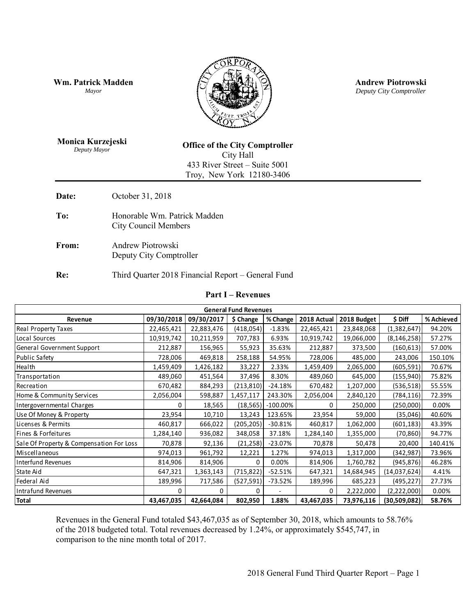**Wm. Patrick Madden** *Mayor* 



**Andrew Piotrowski** *Deputy City Comptroller* 

**Monica Kurzejeski** *Deputy Mayor* 

**Office of the City Comptroller**  City Hall 433 River Street – Suite 5001 Troy, New York 12180-3406

**Date:** October 31, 2018

- To: Honorable Wm. Patrick Madden City Council Members
- **From:** Andrew Piotrowski Deputy City Comptroller

## **Re:** Third Quarter 2018 Financial Report – General Fund

#### **Part I – Revenues**

| <b>Part I</b> – Revenues                 |              |            |            |                |              |             |               |            |  |
|------------------------------------------|--------------|------------|------------|----------------|--------------|-------------|---------------|------------|--|
| <b>General Fund Revenues</b>             |              |            |            |                |              |             |               |            |  |
| Revenue                                  | 09/30/2018   | 09/30/2017 | \$ Change  | % Change       | 2018 Actual  | 2018 Budget | \$ Diff       | % Achieved |  |
| Real Property Taxes                      | 22,465,421   | 22,883,476 | (418,054)  | $-1.83%$       | 22,465,421   | 23,848,068  | (1,382,647)   | 94.20%     |  |
| Local Sources                            | 10,919,742   | 10,211,959 | 707,783    | 6.93%          | 10,919,742   | 19,066,000  | (8, 146, 258) | 57.27%     |  |
| General Government Support               | 212,887      | 156,965    | 55,923     | 35.63%         | 212,887      | 373,500     | (160, 613)    | 57.00%     |  |
| <b>Public Safety</b>                     | 728,006      | 469,818    | 258,188    | 54.95%         | 728,006      | 485,000     | 243,006       | 150.10%    |  |
| Health                                   | 1,459,409    | 1,426,182  | 33,227     | 2.33%          | 1,459,409    | 2,065,000   | (605, 591)    | 70.67%     |  |
| Transportation                           | 489,060      | 451,564    | 37,496     | 8.30%          | 489,060      | 645,000     | (155, 940)    | 75.82%     |  |
| Recreation                               | 670,482      | 884,293    | (213, 810) | $-24.18%$      | 670,482      | 1,207,000   | (536, 518)    | 55.55%     |  |
| Home & Community Services                | 2,056,004    | 598,887    | 1,457,117  | 243.30%        | 2,056,004    | 2,840,120   | (784, 116)    | 72.39%     |  |
| Intergovernmental Charges                | 0            | 18,565     | (18, 565)  | $-100.00\%$    | 0            | 250,000     | (250,000)     | 0.00%      |  |
| Use Of Money & Property                  | 23,954       | 10,710     | 13,243     | 123.65%        | 23,954       | 59,000      | (35,046)      | 40.60%     |  |
| Licenses & Permits                       | 460,817      | 666,022    | (205, 205) | $-30.81%$      | 460,817      | 1,062,000   | (601, 183)    | 43.39%     |  |
| Fines & Forfeitures                      | 1,284,140    | 936,082    | 348,058    | 37.18%         | 1,284,140    | 1,355,000   | (70, 860)     | 94.77%     |  |
| Sale Of Property & Compensation For Loss | 70,878       | 92,136     | (21, 258)  | $-23.07%$      | 70,878       | 50,478      | 20,400        | 140.41%    |  |
| Miscellaneous                            | 974,013      | 961,792    | 12,221     | 1.27%          | 974,013      | 1,317,000   | (342, 987)    | 73.96%     |  |
| <b>Interfund Revenues</b>                | 814,906      | 814,906    | $\Omega$   | 0.00%          | 814,906      | 1,760,782   | (945, 876)    | 46.28%     |  |
| State Aid                                | 647,321      | 1,363,143  | (715, 822) | $-52.51%$      | 647,321      | 14,684,945  | (14,037,624)  | 4.41%      |  |
| Federal Aid                              | 189,996      | 717,586    | (527, 591) | -73.52%        | 189,996      | 685,223     | (495, 227)    | 27.73%     |  |
| Intrafund Revenues                       | <sup>0</sup> | 0          | $\Omega$   | $\blacksquare$ | <sup>0</sup> | 2,222,000   | (2,222,000)   | 0.00%      |  |
| <b>Total</b>                             | 43,467,035   | 42,664,084 | 802,950    | 1.88%          | 43,467,035   | 73,976,116  | (30,509,082)  | 58.76%     |  |

Revenues in the General Fund totaled \$43,467,035 as of September 30, 2018, which amounts to 58.76% of the 2018 budgeted total. Total revenues decreased by 1.24%, or approximately \$545,747, in comparison to the nine month total of 2017.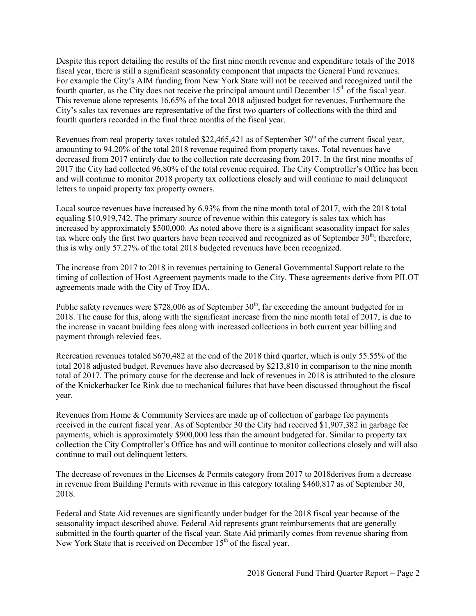Despite this report detailing the results of the first nine month revenue and expenditure totals of the 2018 fiscal year, there is still a significant seasonality component that impacts the General Fund revenues. For example the City's AIM funding from New York State will not be received and recognized until the fourth quarter, as the City does not receive the principal amount until December  $15<sup>th</sup>$  of the fiscal year. This revenue alone represents 16.65% of the total 2018 adjusted budget for revenues. Furthermore the City's sales tax revenues are representative of the first two quarters of collections with the third and fourth quarters recorded in the final three months of the fiscal year.

Revenues from real property taxes totaled \$22,465,421 as of September  $30<sup>th</sup>$  of the current fiscal year, amounting to 94.20% of the total 2018 revenue required from property taxes. Total revenues have decreased from 2017 entirely due to the collection rate decreasing from 2017. In the first nine months of 2017 the City had collected 96.80% of the total revenue required. The City Comptroller's Office has been and will continue to monitor 2018 property tax collections closely and will continue to mail delinquent letters to unpaid property tax property owners.

Local source revenues have increased by 6.93% from the nine month total of 2017, with the 2018 total equaling \$10,919,742. The primary source of revenue within this category is sales tax which has increased by approximately \$500,000. As noted above there is a significant seasonality impact for sales tax where only the first two quarters have been received and recognized as of September  $30<sup>th</sup>$ ; therefore, this is why only 57.27% of the total 2018 budgeted revenues have been recognized.

The increase from 2017 to 2018 in revenues pertaining to General Governmental Support relate to the timing of collection of Host Agreement payments made to the City. These agreements derive from PILOT agreements made with the City of Troy IDA.

Public safety revenues were \$728,006 as of September  $30<sup>th</sup>$ , far exceeding the amount budgeted for in 2018. The cause for this, along with the significant increase from the nine month total of 2017, is due to the increase in vacant building fees along with increased collections in both current year billing and payment through relevied fees.

Recreation revenues totaled \$670,482 at the end of the 2018 third quarter, which is only 55.55% of the total 2018 adjusted budget. Revenues have also decreased by \$213,810 in comparison to the nine month total of 2017. The primary cause for the decrease and lack of revenues in 2018 is attributed to the closure of the Knickerbacker Ice Rink due to mechanical failures that have been discussed throughout the fiscal year.

Revenues from Home & Community Services are made up of collection of garbage fee payments received in the current fiscal year. As of September 30 the City had received \$1,907,382 in garbage fee payments, which is approximately \$900,000 less than the amount budgeted for. Similar to property tax collection the City Comptroller's Office has and will continue to monitor collections closely and will also continue to mail out delinquent letters.

The decrease of revenues in the Licenses & Permits category from 2017 to 2018derives from a decrease in revenue from Building Permits with revenue in this category totaling \$460,817 as of September 30, 2018.

Federal and State Aid revenues are significantly under budget for the 2018 fiscal year because of the seasonality impact described above. Federal Aid represents grant reimbursements that are generally submitted in the fourth quarter of the fiscal year. State Aid primarily comes from revenue sharing from New York State that is received on December  $15<sup>th</sup>$  of the fiscal year.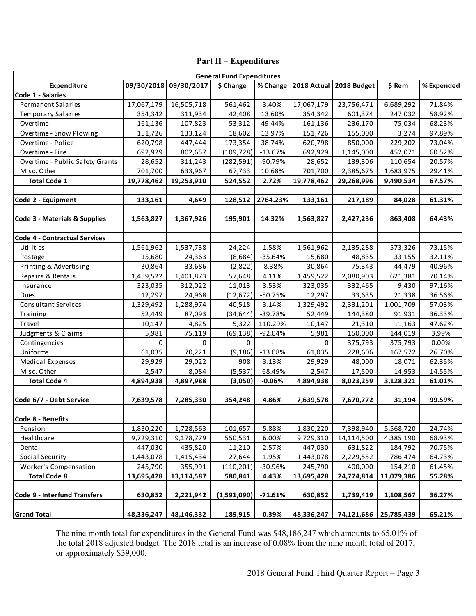# **Part II – Expenditures**

|                                  |            |                       | <b>Part II – Expenditures</b> |           |             |             |            |            |
|----------------------------------|------------|-----------------------|-------------------------------|-----------|-------------|-------------|------------|------------|
| <b>General Fund Expenditures</b> |            |                       |                               |           |             |             |            |            |
| Expenditure                      |            | 09/30/2018 09/30/2017 | \$ Change                     | % Change  | 2018 Actual | 2018 Budget | \$ Rem     | % Expended |
| Code 1 - Salaries                |            |                       |                               |           |             |             |            |            |
| <b>Permanent Salaries</b>        | 17,067,179 | 16,505,718            | 561,462                       | 3.40%     | 17,067,179  | 23,756,471  | 6,689,292  | 71.84%     |
| <b>Temporary Salaries</b>        | 354,342    | 311,934               | 42,408                        | 13.60%    | 354,342     | 601,374     | 247,032    | 58.92%     |
| Overtime                         | 161,136    | 107,823               | 53,312                        | 49.44%    | 161,136     | 236,170     | 75,034     | 68.23%     |
| Overtime - Snow Plowing          | 151,726    | 133,124               | 18,602                        | 13.97%    | 151,726     | 155,000     | 3,274      | 97.89%     |
| Overtime - Police                | 620,798    | 447,444               | 173,354                       | 38.74%    | 620,798     | 850,000     | 229,202    | 73.04%     |
| Overtime - Fire                  | 692,929    | 802,657               | (109, 728)                    | $-13.67%$ | 692,929     | 1,145,000   | 452,071    | 60.52%     |
| Overtime - Public Safety Grants  | 28,652     | 311,243               | (282, 591)                    | -90.79%   | 28,652      | 139,306     | 110,654    | 20.57%     |
| Misc. Other                      | 701,700    | 633,967               | 67,733                        | 10.68%    | 701,700     | 2,385,675   | 1,683,975  | 29.41%     |
| <b>Total Code 1</b>              | 19,778,462 | 19,253,910            | 524,552                       | 2.72%     | 19,778,462  | 29,268,996  | 9,490,534  | 67.57%     |
|                                  |            |                       |                               |           |             |             |            |            |
| Code 2 - Equipment               | 133,161    | 4,649                 | 128,512                       | 2764.23%  | 133,161     | 217,189     | 84,028     | 61.31%     |
|                                  |            |                       |                               |           |             |             |            |            |
| Code 3 - Materials & Supplies    | 1,563,827  | 1,367,926             | 195,901                       | 14.32%    | 1,563,827   | 2,427,236   | 863,408    | 64.43%     |
|                                  |            |                       |                               |           |             |             |            |            |
| Code 4 - Contractual Services    |            |                       |                               |           |             |             |            |            |
| Utilities                        | 1,561,962  | 1,537,738             | 24,224                        | 1.58%     | 1,561,962   | 2,135,288   | 573,326    | 73.15%     |
| Postage                          | 15,680     | 24,363                | (8,684)                       | $-35.64%$ | 15,680      | 48,835      | 33,155     | 32.11%     |
| Printing & Advertising           | 30,864     | 33,686                | (2,822)                       | $-8.38%$  | 30,864      | 75,343      | 44,479     | 40.96%     |
| Repairs & Rentals                | 1,459,522  | 1,401,873             | 57,648                        | 4.11%     | 1,459,522   | 2,080,903   | 621,381    | 70.14%     |
| Insurance                        | 323,035    | 312,022               | 11,013                        | 3.53%     | 323,035     | 332,465     | 9,430      | 97.16%     |
| Dues                             | 12,297     | 24,968                | (12, 672)                     | $-50.75%$ | 12,297      | 33,635      | 21,338     | 36.56%     |
| Consultant Services              | 1,329,492  | 1,288,974             | 40,518                        | 3.14%     | 1,329,492   | 2,331,201   | 1,001,709  | 57.03%     |
| Training                         | 52,449     | 87,093                | (34, 644)                     | $-39.78%$ | 52,449      | 144,380     | 91,931     | 36.33%     |
| Travel                           | 10,147     | 4,825                 | 5,322                         | 110.29%   | 10,147      | 21,310      | 11,163     | 47.62%     |
| Judgments & Claims               | 5,981      | 75,119                | (69, 138)                     | $-92.04%$ | 5,981       | 150,000     | 144,019    | 3.99%      |
| Contingencies                    | 0          | $\Omega$              | 0                             |           | 0           | 375,793     | 375,793    | 0.00%      |
| Uniforms                         | 61,035     | 70,221                | (9, 186)                      | $-13.08%$ | 61,035      | 228,606     | 167,572    | 26.70%     |
| Medical Expenses                 | 29,929     | 29,022                | 908                           | 3.13%     | 29,929      | 48,000      | 18,071     | 62.35%     |
| Misc. Other                      | 2,547      | 8,084                 | (5, 537)                      | $-68.49%$ | 2,547       | 17,500      | 14,953     | 14.55%     |
| <b>Total Code 4</b>              | 4,894,938  | 4,897,988             | (3,050)                       | $-0.06%$  | 4,894,938   | 8,023,259   | 3,128,321  | 61.01%     |
|                                  |            |                       |                               |           |             |             |            |            |
| Code 6/7 - Debt Service          | 7,639,578  | 7,285,330             | 354,248                       | 4.86%     | 7,639,578   | 7,670,772   | 31,194     | 99.59%     |
|                                  |            |                       |                               |           |             |             |            |            |
| Code 8 - Benefits                |            |                       |                               |           |             |             |            |            |
| Pension                          | 1,830,220  | 1,728,563             | 101,657                       | 5.88%     | 1,830,220   | 7,398,940   | 5,568,720  | 24.74%     |
| Healthcare                       | 9,729,310  | 9,178,779             | 550,531                       | 6.00%     | 9,729,310   | 14,114,500  | 4,385,190  | 68.93%     |
| Dental                           | 447,030    | 435,820               | 11,210                        | 2.57%     | 447,030     | 631,822     | 184,792    | 70.75%     |
| Social Security                  | 1,443,078  | 1,415,434             | 27,644                        | 1.95%     | 1,443,078   | 2,229,552   | 786,474    | 64.73%     |
| Worker's Compensation            | 245,790    | 355,991               | (110, 201)                    | -30.96%   | 245,790     | 400,000     | 154,210    | 61.45%     |
| <b>Total Code 8</b>              | 13,695,428 | 13,114,587            | 580,841                       | 4.43%     | 13,695,428  | 24,774,814  | 11,079,386 | 55.28%     |
|                                  |            |                       |                               |           |             |             |            |            |
| Code 9 - Interfund Transfers     | 630,852    | 2,221,942             | (1,591,090)                   | -71.61%   | 630,852     | 1,739,419   | 1,108,567  | 36.27%     |
|                                  |            |                       |                               |           |             |             |            |            |
| <b>Grand Total</b>               | 48,336,247 | 48,146,332            | 189,915                       | 0.39%     | 48,336,247  | 74,121,686  | 25,785,439 | 65.21%     |
|                                  |            |                       |                               |           |             |             |            |            |

The nine month total for expenditures in the General Fund was \$48,186,247 which amounts to 65.01% of the total 2018 adjusted budget. The 2018 total is an increase of 0.08% from the nine month total of 2017, or approximately \$39,000.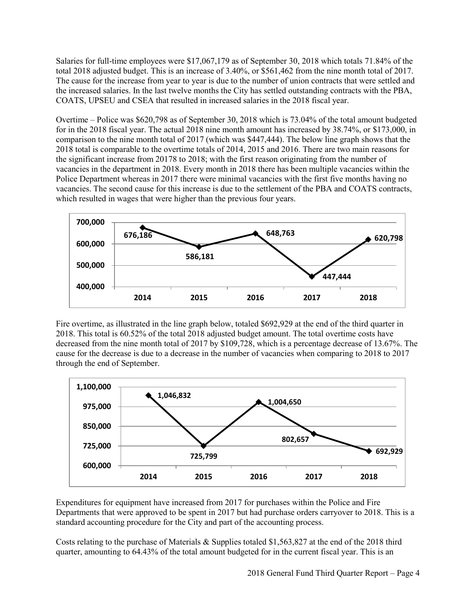Salaries for full-time employees were \$17,067,179 as of September 30, 2018 which totals 71.84% of the total 2018 adjusted budget. This is an increase of 3.40%, or \$561,462 from the nine month total of 2017. The cause for the increase from year to year is due to the number of union contracts that were settled and the increased salaries. In the last twelve months the City has settled outstanding contracts with the PBA, COATS, UPSEU and CSEA that resulted in increased salaries in the 2018 fiscal year.

Overtime – Police was \$620,798 as of September 30, 2018 which is 73.04% of the total amount budgeted for in the 2018 fiscal year. The actual 2018 nine month amount has increased by 38.74%, or \$173,000, in comparison to the nine month total of 2017 (which was \$447,444). The below line graph shows that the 2018 total is comparable to the overtime totals of 2014, 2015 and 2016. There are two main reasons for the significant increase from 20178 to 2018; with the first reason originating from the number of vacancies in the department in 2018. Every month in 2018 there has been multiple vacancies within the Police Department whereas in 2017 there were minimal vacancies with the first five months having no vacancies. The second cause for this increase is due to the settlement of the PBA and COATS contracts, which resulted in wages that were higher than the previous four years.



Fire overtime, as illustrated in the line graph below, totaled \$692,929 at the end of the third quarter in 2018. This total is 60.52% of the total 2018 adjusted budget amount. The total overtime costs have decreased from the nine month total of 2017 by \$109,728, which is a percentage decrease of 13.67%. The cause for the decrease is due to a decrease in the number of vacancies when comparing to 2018 to 2017 through the end of September.



Expenditures for equipment have increased from 2017 for purchases within the Police and Fire Departments that were approved to be spent in 2017 but had purchase orders carryover to 2018. This is a standard accounting procedure for the City and part of the accounting process.

Costs relating to the purchase of Materials & Supplies totaled \$1,563,827 at the end of the 2018 third quarter, amounting to 64.43% of the total amount budgeted for in the current fiscal year. This is an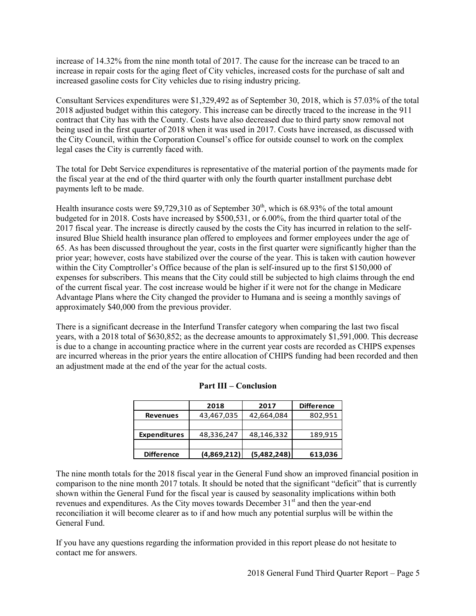increase of 14.32% from the nine month total of 2017. The cause for the increase can be traced to an increase in repair costs for the aging fleet of City vehicles, increased costs for the purchase of salt and increased gasoline costs for City vehicles due to rising industry pricing.

Consultant Services expenditures were \$1,329,492 as of September 30, 2018, which is 57.03% of the total 2018 adjusted budget within this category. This increase can be directly traced to the increase in the 911 contract that City has with the County. Costs have also decreased due to third party snow removal not being used in the first quarter of 2018 when it was used in 2017. Costs have increased, as discussed with the City Council, within the Corporation Counsel's office for outside counsel to work on the complex legal cases the City is currently faced with.

The total for Debt Service expenditures is representative of the material portion of the payments made for the fiscal year at the end of the third quarter with only the fourth quarter installment purchase debt payments left to be made.

Health insurance costs were \$9,729,310 as of September  $30<sup>th</sup>$ , which is 68.93% of the total amount budgeted for in 2018. Costs have increased by \$500,531, or 6.00%, from the third quarter total of the 2017 fiscal year. The increase is directly caused by the costs the City has incurred in relation to the selfinsured Blue Shield health insurance plan offered to employees and former employees under the age of 65. As has been discussed throughout the year, costs in the first quarter were significantly higher than the prior year; however, costs have stabilized over the course of the year. This is taken with caution however within the City Comptroller's Office because of the plan is self-insured up to the first \$150,000 of expenses for subscribers. This means that the City could still be subjected to high claims through the end of the current fiscal year. The cost increase would be higher if it were not for the change in Medicare Advantage Plans where the City changed the provider to Humana and is seeing a monthly savings of approximately \$40,000 from the previous provider.

There is a significant decrease in the Interfund Transfer category when comparing the last two fiscal years, with a 2018 total of \$630,852; as the decrease amounts to approximately \$1,591,000. This decrease is due to a change in accounting practice where in the current year costs are recorded as CHIPS expenses are incurred whereas in the prior years the entire allocation of CHIPS funding had been recorded and then an adjustment made at the end of the year for the actual costs.

|                     | .           | Сонставин   |                   |
|---------------------|-------------|-------------|-------------------|
|                     | 2018        | 2017        | <b>Difference</b> |
| <b>Revenues</b>     | 43,467,035  | 42,664,084  | 802,951           |
|                     |             |             |                   |
| <b>Expenditures</b> | 48,336,247  | 48,146,332  | 189,915           |
|                     |             |             |                   |
| <b>Difference</b>   | (4,869,212) | (5,482,248) | 613,036           |
|                     |             |             |                   |

### **Part III – Conclusion**

The nine month totals for the 2018 fiscal year in the General Fund show an improved financial position in comparison to the nine month 2017 totals. It should be noted that the significant "deficit" that is currently shown within the General Fund for the fiscal year is caused by seasonality implications within both revenues and expenditures. As the City moves towards December  $31<sup>st</sup>$  and then the year-end reconciliation it will become clearer as to if and how much any potential surplus will be within the General Fund.

If you have any questions regarding the information provided in this report please do not hesitate to contact me for answers.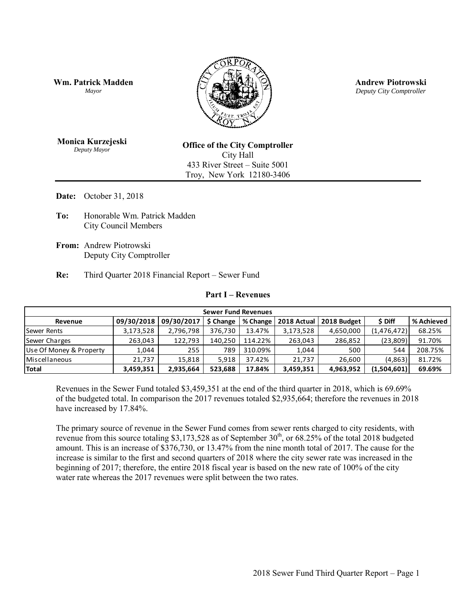**Wm. Patrick Madden** *Mayor* 



**Andrew Piotrowski** *Deputy City Comptroller* 

**Monica Kurzejeski** *Deputy Mayor* 

**Office of the City Comptroller**  City Hall 433 River Street – Suite 5001 Troy, New York 12180-3406

**Date:** October 31, 2018

- **To:** Honorable Wm. Patrick Madden City Council Members
- **From:** Andrew Piotrowski Deputy City Comptroller
- **Re:** Third Quarter 2018 Financial Report Sewer Fund

#### **Part I – Revenues**

| 09/30/2018<br>Revenue<br>3,173,528<br><b>Sewer Rents</b><br>263,043<br>Sewer Charges<br>Use Of Money & Property<br>1,044<br>Miscellaneous<br>21,737<br>3,459,351<br>have increased by 17.84%.<br>increase is similar to the first and second quarters of 2018 where the city sewer rate was increased in the | 09/30/2017<br>2,796,798<br>122,793<br>255<br>15,818<br>2,935,664 | Revenues in the Sewer Fund totaled \$3,459,351 at the end of the third quarter in 2018, which is 69.69%<br>of the budgeted total. In comparison the 2017 revenues totaled \$2,935,664; therefore the revenues in 2018<br>The primary source of revenue in the Sewer Fund comes from sewer rents charged to city residents, with<br>revenue from this source totaling \$3,173,528 as of September $30th$ , or 68.25% of the total 2018 budgeted<br>amount. This is an increase of \$376,730, or 13.47% from the nine month total of 2017. The cause for the | \$ Change<br>376,730<br>140,250<br>789<br>5,918<br>523,688 | <b>Sewer Fund Revenues</b><br>% Change<br>13.47%<br>114.22%<br>310.09%<br>37.42%<br>17.84% | 2018 Actual<br>3,173,528<br>263,043<br>1,044<br>21,737<br>3,459,351 | 2018 Budget<br>4,650,000<br>286,852<br>500<br>26,600<br>4,963,952 | \$ Diff<br>(1,476,472)<br>(23,809)<br>544<br>(4,863)<br>(1,504,601) | % Achieved<br>68.25%<br>91.70%<br>208.75%<br>81.72%<br>69.69% |
|--------------------------------------------------------------------------------------------------------------------------------------------------------------------------------------------------------------------------------------------------------------------------------------------------------------|------------------------------------------------------------------|------------------------------------------------------------------------------------------------------------------------------------------------------------------------------------------------------------------------------------------------------------------------------------------------------------------------------------------------------------------------------------------------------------------------------------------------------------------------------------------------------------------------------------------------------------|------------------------------------------------------------|--------------------------------------------------------------------------------------------|---------------------------------------------------------------------|-------------------------------------------------------------------|---------------------------------------------------------------------|---------------------------------------------------------------|
|                                                                                                                                                                                                                                                                                                              |                                                                  |                                                                                                                                                                                                                                                                                                                                                                                                                                                                                                                                                            |                                                            |                                                                                            |                                                                     |                                                                   |                                                                     |                                                               |
| <b>Total</b>                                                                                                                                                                                                                                                                                                 |                                                                  |                                                                                                                                                                                                                                                                                                                                                                                                                                                                                                                                                            |                                                            |                                                                                            |                                                                     |                                                                   |                                                                     |                                                               |
|                                                                                                                                                                                                                                                                                                              |                                                                  |                                                                                                                                                                                                                                                                                                                                                                                                                                                                                                                                                            |                                                            |                                                                                            |                                                                     |                                                                   |                                                                     |                                                               |
|                                                                                                                                                                                                                                                                                                              |                                                                  |                                                                                                                                                                                                                                                                                                                                                                                                                                                                                                                                                            |                                                            |                                                                                            |                                                                     |                                                                   |                                                                     |                                                               |
|                                                                                                                                                                                                                                                                                                              |                                                                  |                                                                                                                                                                                                                                                                                                                                                                                                                                                                                                                                                            |                                                            |                                                                                            |                                                                     |                                                                   |                                                                     |                                                               |
|                                                                                                                                                                                                                                                                                                              |                                                                  |                                                                                                                                                                                                                                                                                                                                                                                                                                                                                                                                                            |                                                            |                                                                                            |                                                                     |                                                                   |                                                                     |                                                               |
|                                                                                                                                                                                                                                                                                                              |                                                                  | beginning of 2017; therefore, the entire 2018 fiscal year is based on the new rate of 100% of the city<br>water rate whereas the 2017 revenues were split between the two rates.                                                                                                                                                                                                                                                                                                                                                                           |                                                            |                                                                                            |                                                                     |                                                                   |                                                                     |                                                               |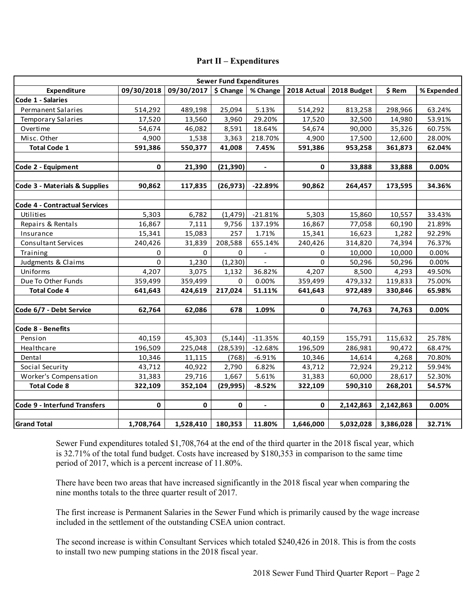| <b>Part II – Expenditures</b>        |            |            |            |                |              |             |           |            |
|--------------------------------------|------------|------------|------------|----------------|--------------|-------------|-----------|------------|
| <b>Sewer Fund Expenditures</b>       |            |            |            |                |              |             |           |            |
| <b>Expenditure</b>                   | 09/30/2018 | 09/30/2017 | $$$ Change | % Change       | 2018 Actual  | 2018 Budget | \$ Rem    | % Expended |
| Code 1 - Salaries                    |            |            |            |                |              |             |           |            |
| <b>Permanent Salaries</b>            | 514,292    | 489,198    | 25,094     | 5.13%          | 514,292      | 813,258     | 298,966   | 63.24%     |
| <b>Temporary Salaries</b>            | 17,520     | 13,560     | 3,960      | 29.20%         | 17,520       | 32,500      | 14,980    | 53.91%     |
| Overtime                             | 54,674     | 46,082     | 8,591      | 18.64%         | 54,674       | 90,000      | 35,326    | 60.75%     |
| Misc. Other                          | 4,900      | 1,538      | 3,363      | 218.70%        | 4,900        | 17,500      | 12,600    | 28.00%     |
| <b>Total Code 1</b>                  | 591,386    | 550,377    | 41,008     | 7.45%          | 591,386      | 953,258     | 361,873   | 62.04%     |
| Code 2 - Equipment                   | 0          | 21,390     | (21, 390)  | $\blacksquare$ | 0            | 33,888      | 33,888    | 0.00%      |
|                                      |            |            |            |                |              |             |           |            |
| Code 3 - Materials & Supplies        | 90,862     | 117,835    | (26, 973)  | $-22.89%$      | 90,862       | 264,457     | 173,595   | 34.36%     |
| <b>Code 4 - Contractual Services</b> |            |            |            |                |              |             |           |            |
| Utilities                            | 5,303      | 6,782      | (1,479)    | $-21.81%$      | 5,303        | 15,860      | 10,557    | 33.43%     |
| Repairs & Rentals                    | 16,867     | 7,111      | 9,756      | 137.19%        | 16,867       | 77,058      | 60,190    | 21.89%     |
| Insurance                            | 15,341     | 15,083     | 257        | 1.71%          | 15,341       | 16,623      | 1,282     | 92.29%     |
| Consultant Services                  | 240,426    | 31,839     | 208,588    | 655.14%        | 240,426      | 314,820     | 74,394    | 76.37%     |
| Training                             | 0          | $\Omega$   | 0          |                | 0            | 10,000      | 10,000    | 0.00%      |
| Judgments & Claims                   | $\Omega$   | 1,230      | (1, 230)   | $\mathbf{r}$   | 0            | 50,296      | 50,296    | 0.00%      |
| Uniforms                             | 4,207      | 3,075      | 1,132      | 36.82%         | 4,207        | 8,500       | 4,293     | 49.50%     |
| Due To Other Funds                   | 359,499    | 359,499    | 0          | 0.00%          | 359,499      | 479,332     | 119,833   | 75.00%     |
| <b>Total Code 4</b>                  | 641,643    | 424,619    | 217,024    | 51.11%         | 641,643      | 972,489     | 330,846   | 65.98%     |
|                                      |            |            |            |                |              |             |           |            |
| Code 6/7 - Debt Service              | 62,764     | 62,086     | 678        | 1.09%          | 0            | 74,763      | 74,763    | 0.00%      |
| Code 8 - Benefits                    |            |            |            |                |              |             |           |            |
| Pension                              | 40,159     | 45,303     | (5, 144)   | $-11.35%$      | 40,159       | 155,791     | 115,632   | 25.78%     |
| Healthcare                           | 196,509    | 225,048    | (28, 539)  | $-12.68%$      | 196,509      | 286,981     | 90,472    | 68.47%     |
| Dental                               | 10,346     | 11,115     | (768)      | $-6.91%$       | 10,346       | 14,614      | 4,268     | 70.80%     |
| Social Security                      | 43,712     | 40,922     | 2,790      | 6.82%          | 43,712       | 72,924      | 29,212    | 59.94%     |
| Worker's Compensation                | 31,383     | 29,716     | 1,667      | 5.61%          | 31,383       | 60,000      | 28,617    | 52.30%     |
| <b>Total Code 8</b>                  | 322,109    | 352,104    | (29, 995)  | $-8.52%$       | 322,109      | 590,310     | 268,201   | 54.57%     |
| <b>Code 9 - Interfund Transfers</b>  | 0          | 0          | 0          |                | $\mathbf{0}$ | 2,142,863   | 2,142,863 | 0.00%      |
| <b>Grand Total</b>                   | 1,708,764  | 1,528,410  | 180,353    | 11.80%         | 1,646,000    | 5,032,028   | 3,386,028 | 32.71%     |

Sewer Fund expenditures totaled \$1,708,764 at the end of the third quarter in the 2018 fiscal year, which is 32.71% of the total fund budget. Costs have increased by \$180,353 in comparison to the same time period of 2017, which is a percent increase of 11.80%.

There have been two areas that have increased significantly in the 2018 fiscal year when comparing the nine months totals to the three quarter result of 2017.

The first increase is Permanent Salaries in the Sewer Fund which is primarily caused by the wage increase included in the settlement of the outstanding CSEA union contract.

The second increase is within Consultant Services which totaled \$240,426 in 2018. This is from the costs to install two new pumping stations in the 2018 fiscal year.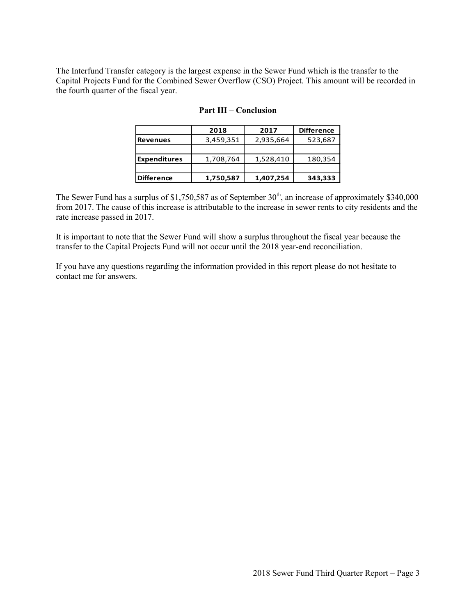The Interfund Transfer category is the largest expense in the Sewer Fund which is the transfer to the Capital Projects Fund for the Combined Sewer Overflow (CSO) Project. This amount will be recorded in the fourth quarter of the fiscal year.

|                     | .         | www.com   |                   |
|---------------------|-----------|-----------|-------------------|
|                     | 2018      | 2017      | <b>Difference</b> |
| <b>Revenues</b>     | 3,459,351 | 2,935,664 | 523,687           |
|                     |           |           |                   |
| <b>Expenditures</b> | 1,708,764 | 1,528,410 | 180,354           |
|                     |           |           |                   |
| <b>Difference</b>   | 1,750,587 | 1,407,254 | 343,333           |
|                     |           |           |                   |

#### **Part III – Conclusion**

The Sewer Fund has a surplus of \$1,750,587 as of September  $30<sup>th</sup>$ , an increase of approximately \$340,000 from 2017. The cause of this increase is attributable to the increase in sewer rents to city residents and the rate increase passed in 2017.

It is important to note that the Sewer Fund will show a surplus throughout the fiscal year because the transfer to the Capital Projects Fund will not occur until the 2018 year-end reconciliation.

If you have any questions regarding the information provided in this report please do not hesitate to contact me for answers.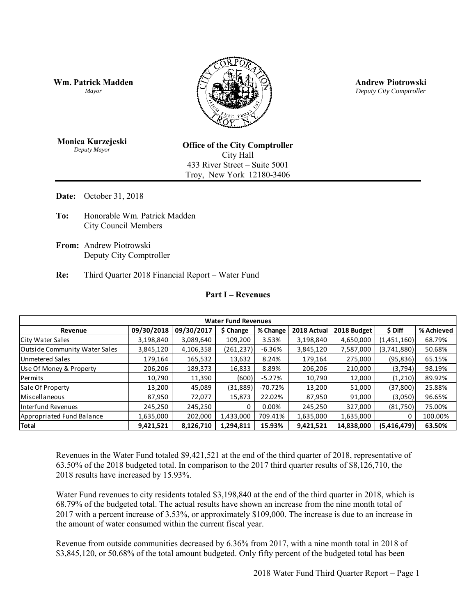**Wm. Patrick Madden** *Mayor* 



**Andrew Piotrowski** *Deputy City Comptroller* 

**Monica Kurzejeski** *Deputy Mayor* 

**Office of the City Comptroller**  City Hall 433 River Street – Suite 5001 Troy, New York 12180-3406

**Date:** October 31, 2018

- **To:** Honorable Wm. Patrick Madden City Council Members
- **From:** Andrew Piotrowski Deputy City Comptroller
- **Re:** Third Quarter 2018 Financial Report Water Fund

#### **Part I – Revenues**

| <b>Part I – Revenues</b>             |            |            |            |          |             |             |             |            |  |
|--------------------------------------|------------|------------|------------|----------|-------------|-------------|-------------|------------|--|
|                                      |            |            |            |          |             |             |             |            |  |
| <b>Water Fund Revenues</b>           |            |            |            |          |             |             |             |            |  |
| Revenue                              | 09/30/2018 | 09/30/2017 | \$ Change  | % Change | 2018 Actual | 2018 Budget | \$ Diff     | % Achieved |  |
| City Water Sales                     | 3,198,840  | 3,089,640  | 109,200    | 3.53%    | 3,198,840   | 4,650,000   | (1,451,160) | 68.79%     |  |
| <b>Outside Community Water Sales</b> | 3,845,120  | 4,106,358  | (261, 237) | $-6.36%$ | 3,845,120   | 7,587,000   | (3,741,880) | 50.68%     |  |
| Unmetered Sales                      | 179,164    | 165,532    | 13,632     | 8.24%    | 179,164     | 275,000     | (95, 836)   | 65.15%     |  |
| Use Of Money & Property              | 206,206    | 189,373    | 16,833     | 8.89%    | 206,206     | 210,000     | (3,794)     | 98.19%     |  |
| Permits                              | 10,790     | 11,390     | (600)      | $-5.27%$ | 10,790      | 12,000      | (1,210)     | 89.92%     |  |
| Sale Of Property                     | 13,200     | 45,089     | (31, 889)  | -70.72%  | 13,200      | 51,000      | (37, 800)   | 25.88%     |  |
| Miscellaneous                        | 87,950     | 72,077     | 15,873     | 22.02%   | 87,950      | 91,000      | (3,050)     | 96.65%     |  |
| <b>Interfund Revenues</b>            | 245,250    | 245,250    |            | 0.00%    | 245,250     | 327,000     | (81,750)    | 75.00%     |  |
| Appropriated Fund Balance            | 1,635,000  | 202,000    | 1,433,000  | 709.41%  | 1,635,000   | 1,635,000   | 0           | 100.00%    |  |
| <b>Total</b>                         | 9,421,521  | 8,126,710  | 1,294,811  | 15.93%   | 9,421,521   | 14,838,000  | (5,416,479) | 63.50%     |  |
|                                      |            |            |            |          |             |             |             |            |  |

Revenues in the Water Fund totaled \$9,421,521 at the end of the third quarter of 2018, representative of 63.50% of the 2018 budgeted total. In comparison to the 2017 third quarter results of \$8,126,710, the 2018 results have increased by 15.93%.

Water Fund revenues to city residents totaled \$3,198,840 at the end of the third quarter in 2018, which is 68.79% of the budgeted total. The actual results have shown an increase from the nine month total of 2017 with a percent increase of 3.53%, or approximately \$109,000. The increase is due to an increase in the amount of water consumed within the current fiscal year.

Revenue from outside communities decreased by 6.36% from 2017, with a nine month total in 2018 of \$3,845,120, or 50.68% of the total amount budgeted. Only fifty percent of the budgeted total has been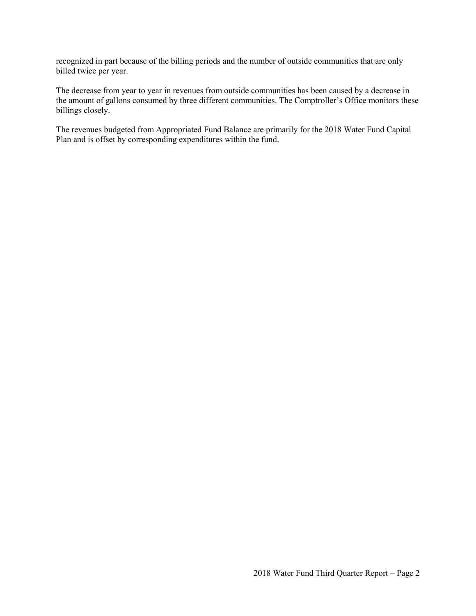recognized in part because of the billing periods and the number of outside communities that are only billed twice per year.

The decrease from year to year in revenues from outside communities has been caused by a decrease in the amount of gallons consumed by three different communities. The Comptroller's Office monitors these billings closely.

The revenues budgeted from Appropriated Fund Balance are primarily for the 2018 Water Fund Capital Plan and is offset by corresponding expenditures within the fund.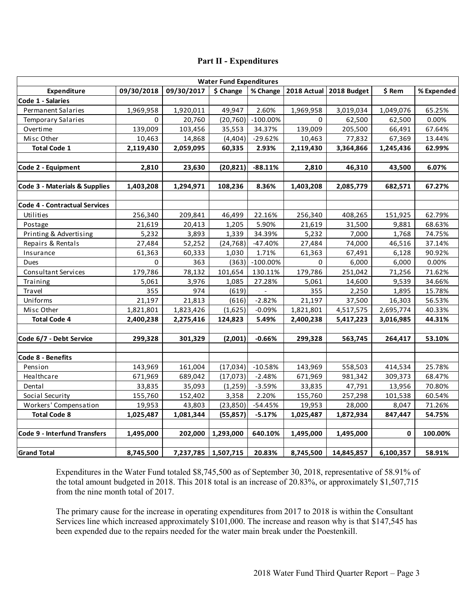|                                      | <b>Water Fund Expenditures</b> |            |           |             |             |             |           |            |  |
|--------------------------------------|--------------------------------|------------|-----------|-------------|-------------|-------------|-----------|------------|--|
| Expenditure                          | 09/30/2018                     | 09/30/2017 | \$ Change | % Change    | 2018 Actual | 2018 Budget | \$ Rem    | % Expended |  |
| Code 1 - Salaries                    |                                |            |           |             |             |             |           |            |  |
| Permanent Salaries                   | 1,969,958                      | 1,920,011  | 49,947    | 2.60%       | 1,969,958   | 3,019,034   | 1,049,076 | 65.25%     |  |
| <b>Temporary Salaries</b>            | 0                              | 20,760     | (20, 760) | $-100.00\%$ | 0           | 62,500      | 62,500    | 0.00%      |  |
| Overtime                             | 139,009                        | 103,456    | 35,553    | 34.37%      | 139,009     | 205,500     | 66,491    | 67.64%     |  |
| Misc Other                           | 10,463                         | 14,868     | (4,404)   | $-29.62%$   | 10,463      | 77,832      | 67,369    | 13.44%     |  |
| <b>Total Code 1</b>                  | 2,119,430                      | 2,059,095  | 60,335    | 2.93%       | 2,119,430   | 3,364,866   | 1,245,436 | 62.99%     |  |
|                                      |                                |            |           |             |             |             |           |            |  |
| Code 2 - Equipment                   | 2,810                          | 23,630     | (20, 821) | $-88.11%$   | 2,810       | 46,310      | 43,500    | 6.07%      |  |
| Code 3 - Materials & Supplies        | 1,403,208                      | 1,294,971  | 108,236   | 8.36%       | 1,403,208   | 2,085,779   | 682,571   | 67.27%     |  |
| <b>Code 4 - Contractual Services</b> |                                |            |           |             |             |             |           |            |  |
| Utilities                            | 256,340                        | 209,841    | 46,499    | 22.16%      | 256,340     | 408,265     | 151,925   | 62.79%     |  |
| Postage                              | 21,619                         | 20,413     | 1,205     | 5.90%       | 21,619      | 31,500      | 9,881     | 68.63%     |  |
| Printing & Advertising               | 5,232                          | 3,893      | 1,339     | 34.39%      | 5,232       | 7,000       | 1,768     | 74.75%     |  |
| Repairs & Rentals                    | 27,484                         | 52,252     | (24, 768) | $-47.40%$   | 27,484      | 74,000      | 46,516    | 37.14%     |  |
| Insurance                            | 61,363                         | 60,333     | 1,030     | 1.71%       | 61,363      | 67,491      | 6,128     | 90.92%     |  |
| Dues                                 | 0                              | 363        | (363)     | $-100.00\%$ | 0           | 6,000       | 6,000     | 0.00%      |  |
| Consultant Services                  | 179,786                        | 78,132     | 101,654   | 130.11%     | 179,786     | 251,042     | 71,256    | 71.62%     |  |
| Training                             | 5,061                          | 3,976      | 1,085     | 27.28%      | 5,061       | 14,600      | 9,539     | 34.66%     |  |
| Travel                               | 355                            | 974        | (619)     |             | 355         | 2,250       | 1,895     | 15.78%     |  |
| Uniforms                             | 21,197                         | 21,813     | (616)     | $-2.82%$    | 21,197      | 37,500      | 16,303    | 56.53%     |  |
| Misc Other                           | 1,821,801                      | 1,823,426  | (1,625)   | $-0.09%$    | 1,821,801   | 4,517,575   | 2,695,774 | 40.33%     |  |
| <b>Total Code 4</b>                  | 2,400,238                      | 2,275,416  | 124,823   | 5.49%       | 2,400,238   | 5,417,223   | 3,016,985 | 44.31%     |  |
| Code 6/7 - Debt Service              | 299,328                        |            |           | $-0.66%$    |             | 563,745     | 264,417   | 53.10%     |  |
|                                      |                                | 301,329    | (2,001)   |             | 299,328     |             |           |            |  |
| Code 8 - Benefits                    |                                |            |           |             |             |             |           |            |  |
| Pension                              | 143,969                        | 161,004    | (17, 034) | $-10.58%$   | 143,969     | 558,503     | 414,534   | 25.78%     |  |
| Healthcare                           | 671,969                        | 689,042    | (17,073)  | $-2.48%$    | 671,969     | 981,342     | 309,373   | 68.47%     |  |
| Dental                               | 33,835                         | 35,093     | (1,259)   | $-3.59%$    | 33,835      | 47,791      | 13,956    | 70.80%     |  |
| Social Security                      | 155,760                        | 152,402    | 3,358     | 2.20%       | 155,760     | 257,298     | 101,538   | 60.54%     |  |
| Workers' Compensation                | 19,953                         | 43,803     | (23, 850) | $-54.45%$   | 19,953      | 28,000      | 8,047     | 71.26%     |  |
| <b>Total Code 8</b>                  | 1,025,487                      | 1,081,344  | (55, 857) | $-5.17%$    | 1,025,487   | 1,872,934   | 847,447   | 54.75%     |  |
| Code 9 - Interfund Transfers         | 1,495,000                      | 202,000    | 1,293,000 | 640.10%     | 1,495,000   | 1,495,000   | 0         | 100.00%    |  |
|                                      |                                |            |           |             |             |             |           |            |  |
| <b>Grand Total</b>                   | 8,745,500                      | 7,237,785  | 1,507,715 | 20.83%      | 8,745,500   | 14,845,857  | 6,100,357 | 58.91%     |  |

Expenditures in the Water Fund totaled \$8,745,500 as of September 30, 2018, representative of 58.91% of the total amount budgeted in 2018. This 2018 total is an increase of 20.83%, or approximately \$1,507,715 from the nine month total of 2017.

The primary cause for the increase in operating expenditures from 2017 to 2018 is within the Consultant Services line which increased approximately \$101,000. The increase and reason why is that \$147,545 has been expended due to the repairs needed for the water main break under the Poestenkill.